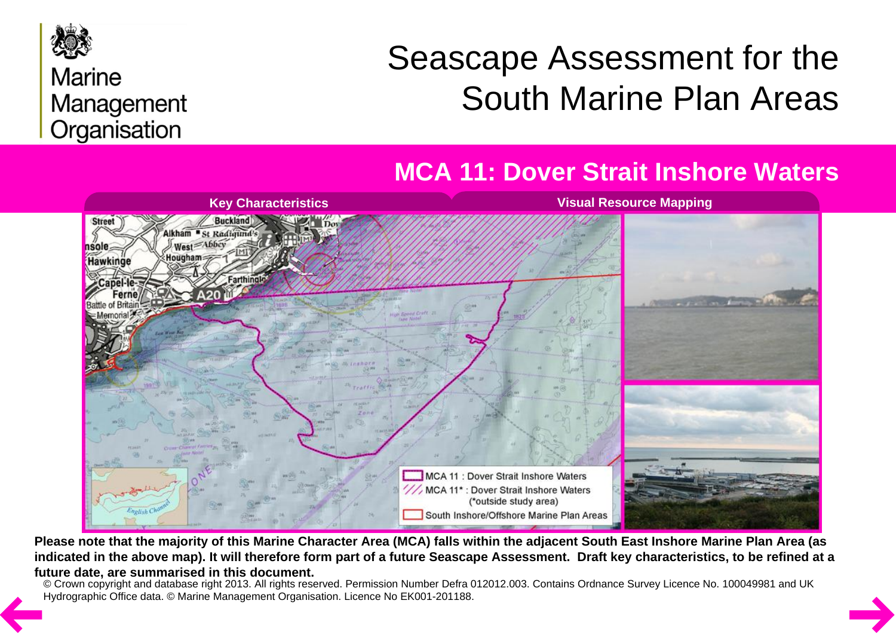

### **Marine** Management Organisation

# Seascape Assessment for the South Marine Plan Areas

## **MCA 11: Dover Strait Inshore Waters**



Please note that the majority of this Marine Character Area (MCA) falls within the adjacent South East Inshore Marine Plan Area (as indicated in the above map). It will therefore form part of a future Seascape Assessment. Draft key characteristics, to be refined at a **future date, are summarised in this document.**

© Crown copyright and database right 2013. All rights reserved. Permission Number Defra 012012.003. Contains Ordnance Survey Licence No. 100049981 and UK Hydrographic Office data. © Marine Management Organisation. Licence No EK001-201188.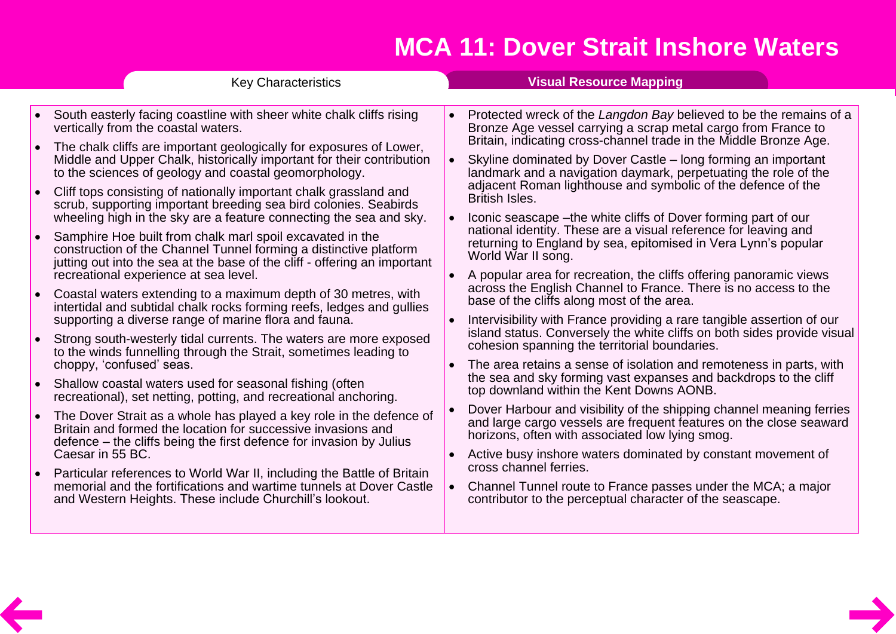<span id="page-1-0"></span>

|           | <b>Key Characteristics</b>                                                                                                                                                                                                                                                                                                                                                                                                                 |           | <b>Visual Resource Mapping</b>                                                                                                                                                                                                                                                                                                                                                                                                          |  |
|-----------|--------------------------------------------------------------------------------------------------------------------------------------------------------------------------------------------------------------------------------------------------------------------------------------------------------------------------------------------------------------------------------------------------------------------------------------------|-----------|-----------------------------------------------------------------------------------------------------------------------------------------------------------------------------------------------------------------------------------------------------------------------------------------------------------------------------------------------------------------------------------------------------------------------------------------|--|
|           |                                                                                                                                                                                                                                                                                                                                                                                                                                            |           |                                                                                                                                                                                                                                                                                                                                                                                                                                         |  |
|           | South easterly facing coastline with sheer white chalk cliffs rising<br>vertically from the coastal waters.                                                                                                                                                                                                                                                                                                                                |           | Protected wreck of the Langdon Bay believed to be the remains of a<br>Bronze Age vessel carrying a scrap metal cargo from France to                                                                                                                                                                                                                                                                                                     |  |
|           | The chalk cliffs are important geologically for exposures of Lower,<br>Middle and Upper Chalk, historically important for their contribution<br>to the sciences of geology and coastal geomorphology.                                                                                                                                                                                                                                      |           | Britain, indicating cross-channel trade in the Middle Bronze Age.<br>Skyline dominated by Dover Castle - long forming an important<br>landmark and a navigation daymark, perpetuating the role of the                                                                                                                                                                                                                                   |  |
|           | Cliff tops consisting of nationally important chalk grassland and<br>scrub, supporting important breeding sea bird colonies. Seabirds<br>wheeling high in the sky are a feature connecting the sea and sky.                                                                                                                                                                                                                                |           | adjacent Roman lighthouse and symbolic of the defence of the<br>British Isles.<br>Iconic seascape – the white cliffs of Dover forming part of our                                                                                                                                                                                                                                                                                       |  |
|           | Samphire Hoe built from chalk marl spoil excavated in the<br>construction of the Channel Tunnel forming a distinctive platform<br>jutting out into the sea at the base of the cliff - offering an important                                                                                                                                                                                                                                |           | national identity. These are a visual reference for leaving and<br>returning to England by sea, epitomised in Vera Lynn's popular<br>World War II song.                                                                                                                                                                                                                                                                                 |  |
|           | recreational experience at sea level.<br>Coastal waters extending to a maximum depth of 30 metres, with                                                                                                                                                                                                                                                                                                                                    |           | A popular area for recreation, the cliffs offering panoramic views<br>across the English Channel to France. There is no access to the                                                                                                                                                                                                                                                                                                   |  |
|           | intertidal and subtidal chalk rocks forming reefs, ledges and gullies<br>supporting a diverse range of marine flora and fauna.                                                                                                                                                                                                                                                                                                             |           | base of the cliffs along most of the area.<br>Intervisibility with France providing a rare tangible assertion of our<br>island status. Conversely the white cliffs on both sides provide visual<br>cohesion spanning the territorial boundaries.<br>The area retains a sense of isolation and remoteness in parts, with<br>the sea and sky forming vast expanses and backdrops to the cliff<br>top downland within the Kent Downs AONB. |  |
|           | Strong south-westerly tidal currents. The waters are more exposed<br>to the winds funnelling through the Strait, sometimes leading to                                                                                                                                                                                                                                                                                                      |           |                                                                                                                                                                                                                                                                                                                                                                                                                                         |  |
| $\bullet$ | choppy, 'confused' seas.<br>Shallow coastal waters used for seasonal fishing (often<br>recreational), set netting, potting, and recreational anchoring.                                                                                                                                                                                                                                                                                    |           |                                                                                                                                                                                                                                                                                                                                                                                                                                         |  |
| $\bullet$ | The Dover Strait as a whole has played a key role in the defence of<br>Britain and formed the location for successive invasions and<br>defence – the cliffs being the first defence for invasion by Julius<br>Caesar in 55 BC.<br>Particular references to World War II, including the Battle of Britain<br>memorial and the fortifications and wartime tunnels at Dover Castle<br>and Western Heights. These include Churchill's lookout. |           | Dover Harbour and visibility of the shipping channel meaning ferries<br>and large cargo vessels are frequent features on the close seaward<br>horizons, often with associated low lying smog.                                                                                                                                                                                                                                           |  |
|           |                                                                                                                                                                                                                                                                                                                                                                                                                                            |           | Active busy inshore waters dominated by constant movement of<br>cross channel ferries.                                                                                                                                                                                                                                                                                                                                                  |  |
|           |                                                                                                                                                                                                                                                                                                                                                                                                                                            | $\bullet$ | Channel Tunnel route to France passes under the MCA; a major<br>contributor to the perceptual character of the seascape.                                                                                                                                                                                                                                                                                                                |  |
|           |                                                                                                                                                                                                                                                                                                                                                                                                                                            |           |                                                                                                                                                                                                                                                                                                                                                                                                                                         |  |
|           |                                                                                                                                                                                                                                                                                                                                                                                                                                            |           |                                                                                                                                                                                                                                                                                                                                                                                                                                         |  |
|           |                                                                                                                                                                                                                                                                                                                                                                                                                                            |           |                                                                                                                                                                                                                                                                                                                                                                                                                                         |  |
|           |                                                                                                                                                                                                                                                                                                                                                                                                                                            |           |                                                                                                                                                                                                                                                                                                                                                                                                                                         |  |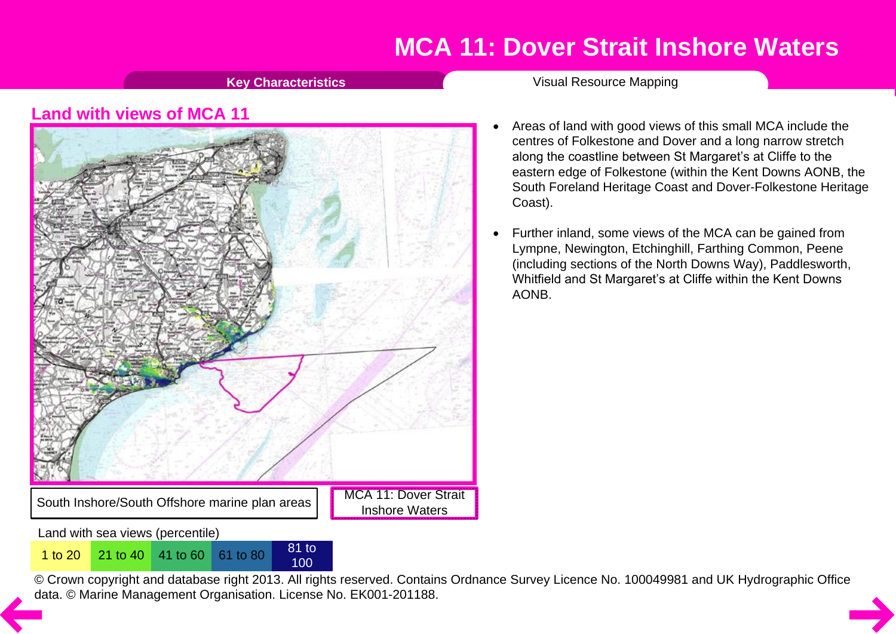**Key [Characteristics](#page-3-0)** Visual Resource Mapping

#### <span id="page-2-0"></span>**Land with views of MCA 11**



- Areas of land with good views of this small MCA include the centres of Folkestone and Dover and a long narrow stretch along the coastline between St Margaret's at Cliffe to the eastern edge of Folkestone (within the Kent Downs AONB, the South Foreland Heritage Coast and Dover-Folkestone Heritage Coast).
- · Further inland, some views of the MCA can be gained from Lympne, Newington, Etchinghill, Farthing Common, Peene (including sections of the North Downs Way), Paddlesworth, Whitfield and St Margaret's at Cliffe within the Kent Downs AONB.

Land with sea views (percentile)

100

© Crown copyright and database right 2013. All rights reserved. Contains Ordnance Survey Licence No. 100049981 and UK Hydrographic Office 1 to 20 21 to 40 41 to 60 61 to 80 81 to<br>© Crown copyright and [da](#page-1-0)tabase right 2013. All rights reserved. Contair data. © Marine Management Organisation. License No. EK001-201188.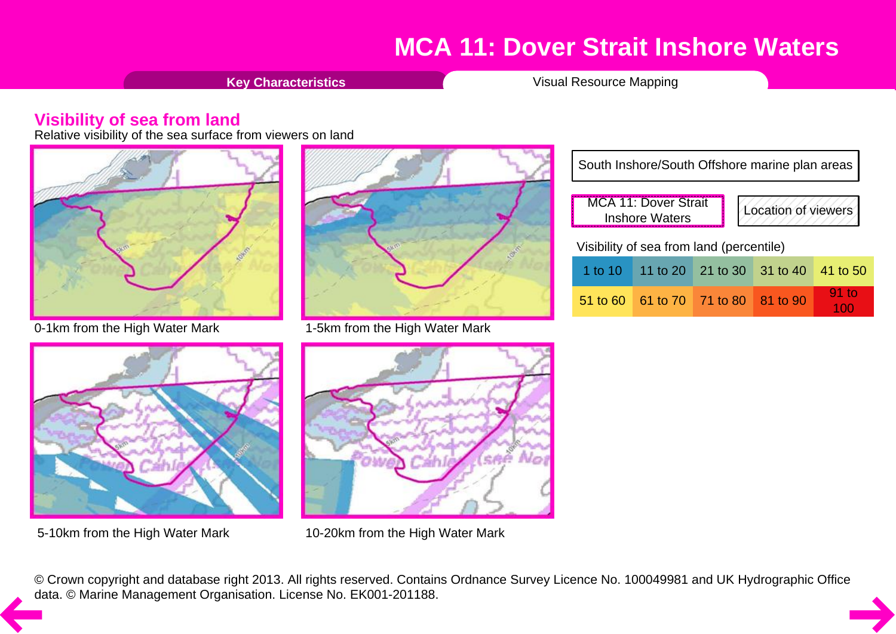**Key [Characteristics](#page-3-0) Visual Resource Mapping** 

#### <span id="page-3-0"></span>**Visibility of sea from land**

Relative visibility of the sea surface from viewers on land





0-1km from the High Water Mark 1-5km from the High Water Mark





5-10km from the High Water Mark 10-20km from the High Water Mark

| South Inshore/South Offshore marine plan areas |                                                      |  |                     |          |  |  |  |
|------------------------------------------------|------------------------------------------------------|--|---------------------|----------|--|--|--|
|                                                | <b>MCA 11: Dover Strait</b><br><b>Inshore Waters</b> |  | Location of viewers |          |  |  |  |
| Visibility of sea from land (percentile)       |                                                      |  |                     |          |  |  |  |
|                                                | 1 to 10 11 to 20 21 to 30 31 to 40                   |  |                     | 41 to 50 |  |  |  |
|                                                | 51 to 60 61 to 70 71 to 80 81 to 90                  |  |                     | $91$ to  |  |  |  |

© Crown copyright and database right 2013. All rights reserved. Contains Ordnance Survey Licence No. 100049981 and UK Hydrographic Office [da](#page-2-0)ta. © Marine Management Organisation. License No. EK001-201188.